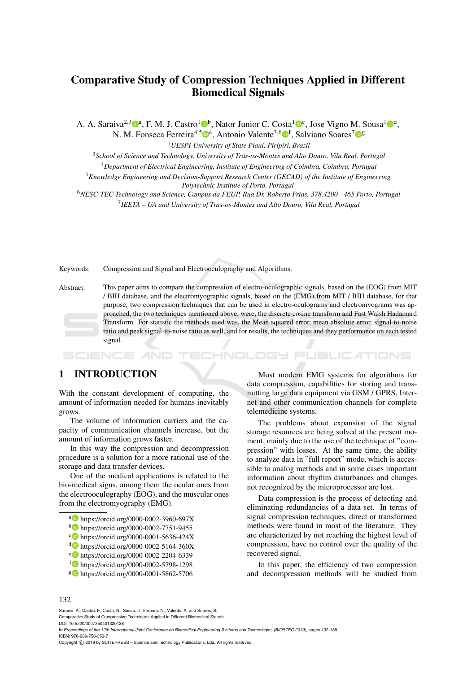# Comparative Study of Compression Techniques Applied in Different Biomedical Signals

A. A. Saraiva<sup>2,3</sup><sup>0a</sup>, F. M. J. Castro<sup>1</sup><sup>0</sup>b, Nator Junior C. Costa<sup>1</sup><sup>0</sup>c, Jose Vigno M. Sousa<sup>1</sup><sup>0d</sup>, N. M. Fonseca Ferreira<sup>4,5</sup><sup>0</sup>°, Antonio Valente<sup>3,6</sup>0<sup>f</sup>, Salviano Soares<sup>7</sup>0°

<sup>1</sup>*UESPI-University of State Piaui, Piripiri, Brazil*

<sup>3</sup>*School of Science and Technology, University of Tras-os-Montes and Alto Douro, Vila Real, Portugal ´*

<sup>4</sup>*Department of Electrical Engineering, Institute of Engineering of Coimbra, Coimbra, Portugal*

<sup>5</sup>*Knowledge Engineering and Decision-Support Research Center (GECAD) of the Institute of Engineering, Polytechnic Institute of Porto, Portugal*

<sup>6</sup>*NESC-TEC Technology and Science, Campus da FEUP, Rua Dr. Roberto Frias, 378,4200 - 465 Porto, Portugal* 7 *IEETA – UA and University of Tras-os-Montes and Alto Douro, Vila Real, Portugal*

Keywords: Compression and Signal and Electrooculography and Algorithms.

Abstract: This paper aims to compare the compression of electro-oculographic signals, based on the (EOG) from MIT

/ BIH database, and the electromyographic signals, based on the (EMG) from MIT / BIH database, for that purpose, two compression techniques that can be used in electro-oculograms and electromyograms was approached, the two techniques mentioned above, were, the discrete cosine transform and Fast Walsh Hadamard Transform. For statistic the methods used was, the Mean squared error, mean absolute error, signal-to-noise ratio and peak signal-to-noise ratio as well, and for results, the techniques and they performance on each tested signal.

**JBLIC ATIONS** SCIENCE ogy et

## 1 INTRODUCTION

With the constant development of computing, the amount of information needed for humans inevitably grows.

The volume of information carriers and the capacity of communication channels increase, but the amount of information grows faster.

In this way the compression and decompression procedure is a solution for a more rational use of the storage and data transfer devices.

One of the medical applications is related to the bio-medical signs, among them the ocular ones from the electrooculography (EOG), and the muscular ones from the electromyography (EMG).

- a https://orcid.org/0000-0002-3960-697X
- <sup>b</sup> https://orcid.org/0000-0002-7751-9455
- c https://orcid.org/0000-0001-5636-424X
- <sup>d</sup> https://orcid.org/0000-0002-5164-360X
- <sup>e</sup> https://orcid.org/0000-0002-2204-6339
- <sup>f</sup> https://orcid.org/0000-0002-5798-1298
- <sup>g</sup> https://orcid.org/0000-0001-5862-5706

Most modern EMG systems for algorithms for data compression, capabilities for storing and transmitting large data equipment via GSM / GPRS, Internet and other communication channels for complete telemedicine systems.

The problems about expansion of the signal storage resources are being solved at the present moment, mainly due to the use of the technique of "compression" with losses. At the same time, the ability to analyze data in "full report" mode, which is accessible to analog methods and in some cases important information about rhythm disturbances and changes not recognized by the microprocessor are lost.

Data compression is the process of detecting and eliminating redundancies of a data set. In terms of signal compression techniques, direct or transformed methods were found in most of the literature. They are characterized by not reaching the highest level of compression, have no control over the quality of the recovered signal.

In this paper, the efficiency of two compression and decompression methods will be studied from

#### 132

Saraiva, A., Castro, F., Costa, N., Sousa, J., Ferreira, N., Valente, A. and Soares, S.

In *Proceedings of the 12th International Joint Conference on Biomedical Engineering Systems and Technologies (BIOSTEC 2019)*, pages 132-138 ISBN: 978-989-758-353-7

Copyright © 2019 by SCITEPRESS - Science and Technology Publications, Lda. All rights reserved

Comparative Study of Compression Techniques Applied in Different Biomedical Signals. DOI: 10.5220/0007350401320138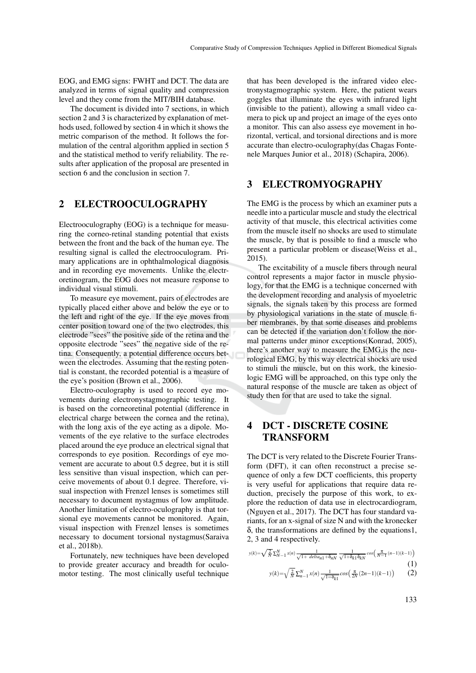EOG, and EMG signs: FWHT and DCT. The data are analyzed in terms of signal quality and compression level and they come from the MIT/BIH database.

The document is divided into 7 sections, in which section 2 and 3 is characterized by explanation of methods used, followed by section 4 in which it shows the metric comparison of the method. It follows the formulation of the central algorithm applied in section 5 and the statistical method to verify reliability. The results after application of the proposal are presented in section 6 and the conclusion in section 7.

### 2 ELECTROOCULOGRAPHY

Electrooculography (EOG) is a technique for measuring the corneo-retinal standing potential that exists between the front and the back of the human eye. The resulting signal is called the electrooculogram. Primary applications are in ophthalmological diagnosis and in recording eye movements. Unlike the electroretinogram, the EOG does not measure response to individual visual stimuli.

To measure eye movement, pairs of electrodes are typically placed either above and below the eye or to the left and right of the eye. If the eye moves from center position toward one of the two electrodes, this electrode "sees" the positive side of the retina and the opposite electrode "sees" the negative side of the retina. Consequently, a potential difference occurs between the electrodes. Assuming that the resting potential is constant, the recorded potential is a measure of the eye's position (Brown et al., 2006).

Electro-oculography is used to record eye movements during electronystagmographic testing. It is based on the corneoretinal potential (difference in electrical charge between the cornea and the retina), with the long axis of the eye acting as a dipole. Movements of the eye relative to the surface electrodes placed around the eye produce an electrical signal that corresponds to eye position. Recordings of eye movement are accurate to about 0.5 degree, but it is still less sensitive than visual inspection, which can perceive movements of about 0.1 degree. Therefore, visual inspection with Frenzel lenses is sometimes still necessary to document nystagmus of low amplitude. Another limitation of electro-oculography is that torsional eye movements cannot be monitored. Again, visual inspection with Frenzel lenses is sometimes necessary to document torsional nystagmus(Saraiva et al., 2018b).

Fortunately, new techniques have been developed to provide greater accuracy and breadth for oculomotor testing. The most clinically useful technique

that has been developed is the infrared video electronystagmographic system. Here, the patient wears goggles that illuminate the eyes with infrared light (invisible to the patient), allowing a small video camera to pick up and project an image of the eyes onto a monitor. This can also assess eye movement in horizontal, vertical, and torsional directions and is more accurate than electro-oculography(das Chagas Fontenele Marques Junior et al., 2018) (Schapira, 2006).

### 3 ELECTROMYOGRAPHY

The EMG is the process by which an examiner puts a needle into a particular muscle and study the electrical activity of that muscle, this electrical activities come from the muscle itself no shocks are used to stimulate the muscle, by that is possible to find a muscle who present a particular problem or disease(Weiss et al., 2015).

The excitability of a muscle fibers through neural control represents a major factor in muscle physiology, for that the EMG is a technique concerned with the development recording and analysis of myoeletric signals, the signals taken by this process are formed by physiological variations in the state of muscle fiber membranes, by that some diseases and problems can be detected if the variation don't follow the normal patterns under minor exceptions(Konrad, 2005), there's another way to measure the EMG,is the neurological EMG, by this way electrical shocks are used to stimuli the muscle, but on this work, the kinesiologic EMG will be approached, on this type only the natural response of the muscle are taken as object of study then for that are used to take the signal.

## 4 DCT - DISCRETE COSINE TRANSFORM

The DCT is very related to the Discrete Fourier Transform (DFT), it can often reconstruct a precise sequence of only a few DCT coefficients, this property is very useful for applications that require data reduction, precisely the purpose of this work, to explore the reduction of data use in electrocardiogram, (Nguyen et al., 2017). The DCT has four standard variants, for an x-signal of size N and with the kronecker δ, the transformations are defined by the equations1, 2, 3 and 4 respectively.

$$
y(k) = \sqrt{\frac{2}{N}} \sum_{N=1}^{N} x(n) \frac{1}{\sqrt{1 + \det(a_{n1} + \delta_{nN})}} \frac{1}{\sqrt{1 + \delta_{k1} \delta_{kN}}} \cos\left(\frac{\pi}{N-1} (n-1)(k-1)\right)
$$
\n(1)

$$
y(k) = \sqrt{\frac{2}{N}} \sum_{n=1}^{N} x(n) \frac{1}{\sqrt{1-\delta_{k1}}} \cos\left(\frac{\pi}{2N}(2n-1)(k-1)\right) \tag{2}
$$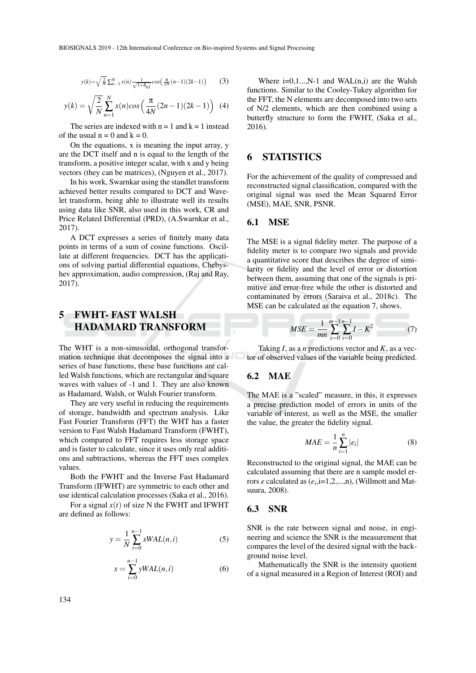$$
y(k) = \sqrt{\frac{2}{N}} \sum_{n=1}^{N} x(n) \frac{1}{\sqrt{1+\delta_{n1}}} \cos\left(\frac{\pi}{2N}(n-1)(2k-1)\right) \tag{3}
$$

$$
y(k) = \sqrt{\frac{2}{N}} \sum_{n=1}^{N} x(n) \cos\left(\frac{\pi}{4N}(2n-1)(2k-1)\right)
$$
 (4)

The series are indexed with  $n = 1$  and  $k = 1$  instead of the usual  $n = 0$  and  $k = 0$ .

On the equations, x is meaning the input array, y are the DCT itself and n is equal to the length of the transform, a positive integer scalar, with x and y being vectors (they can be matrices), (Nguyen et al., 2017).

In his work, Swarnkar using the standlet transform achieved better results compared to DCT and Wavelet transform, being able to illustrate well its results using data like SNR, also used in this work, CR and Price Related Differential (PRD), (A.Swarnkar et al., 2017).

A DCT expresses a series of finitely many data points in terms of a sum of cosine functions. Oscillate at different frequencies. DCT has the applications of solving partial differential equations, Chebyshev approximation, audio compression, (Raj and Ray, 2017).

## 5 FWHT- FAST WALSH HADAMARD TRANSFORM

The WHT is a non-sinusoidal, orthogonal transformation technique that decomposes the signal into a series of base functions, these base functions are called Walsh functions, which are rectangular and square waves with values of -1 and 1. They are also known as Hadamard, Walsh, or Walsh Fourier transform.

They are very useful in reducing the requirements of storage, bandwidth and spectrum analysis. Like Fast Fourier Transform (FFT) the WHT has a faster version to Fast Walsh Hadamard Transform (FWHT), which compared to FFT requires less storage space and is faster to calculate, since it uses only real additions and subtractions, whereas the FFT uses complex values.

Both the FWHT and the Inverse Fast Hadamard Transform (IFWHT) are symmetric to each other and use identical calculation processes (Saka et al., 2016).

For a signal  $x(t)$  of size N the FWHT and IFWHT are defined as follows:

$$
y = \frac{1}{N} \sum_{i=0}^{n-1} xWAL(n, i)
$$
 (5)

$$
x = \sum_{i=0}^{n-1} yWAL(n, i)
$$
 (6)

Where  $i=0,1...$ , N-1 and WAL $(n,i)$  are the Walsh functions. Similar to the Cooley-Tukey algorithm for the FFT, the N elements are decomposed into two sets of N/2 elements, which are then combined using a butterfly structure to form the FWHT, (Saka et al., 2016).

### 6 STATISTICS

For the achievement of the quality of compressed and reconstructed signal classification, compared with the original signal was used the Mean Squared Error (MSE), MAE, SNR, PSNR.

#### 6.1 MSE

The MSE is a signal fidelity meter. The purpose of a fidelity meter is to compare two signals and provide a quantitative score that describes the degree of similarity or fidelity and the level of error or distortion between them, assuming that one of the signals is primitive and error-free while the other is distorted and contaminated by errors (Saraiva et al., 2018c). The MSE can be calculated as the equation 7, shows.

$$
MSE = \frac{1}{mn} \sum_{x=0}^{m-1} \sum_{y=0}^{n-1} I - K^2
$$
 (7)

Taking *I*, as a *n* predictions vector and *K*, as a vector of observed values of the variable being predicted.

#### 6.2 MAE

The MAE is a "scaled" measure, in this, it expresses a precise prediction model of errors in units of the variable of interest, as well as the MSE, the smaller the value, the greater the fidelity signal.

$$
MAE = \frac{1}{n} \sum_{i=1}^{n} |e_i|
$$
 (8)

Reconstructed to the original signal, the MAE can be calculated assuming that there are n sample model errors *e* calculated as  $(e_i$ ,i=1,2,...,n), (Willmott and Matsuura, 2008).

#### 6.3 SNR

SNR is the rate between signal and noise, in engineering and science the SNR is the measurement that compares the level of the desired signal with the background noise level.

Mathematically the SNR is the intensity quotient of a signal measured in a Region of Interest (ROI) and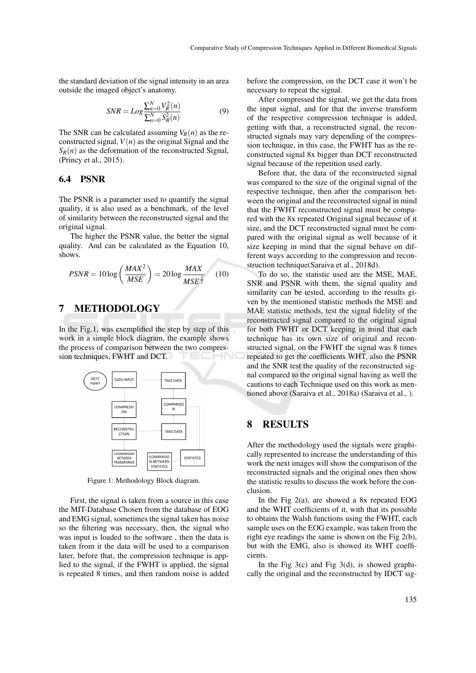the standard deviation of the signal intensity in an area outside the imaged object's anatomy.

$$
SNR = Log \frac{\sum_{n=0}^{N} V_R^2(n)}{\sum_{n=0}^{N} S_R^2(n)}
$$
(9)

The SNR can be calculated assuming  $V_R(n)$  as the reconstructed signal,  $V(n)$  as the original Signal and the  $S_R(n)$  as the deformation of the reconstructed Signal, (Princy et al., 2015).

### 6.4 PSNR

The PSNR is a parameter used to quantify the signal quality, it is also used as a benchmark, of the level of similarity between the reconstructed signal and the original signal.

The higher the PSNR value, the better the signal quality. And can be calculated as the Equation 10, shows.

$$
PSNR = 10 \log \left(\frac{MAX^2}{MSE}\right) = 20 \log \frac{MAX}{MSE^{\frac{1}{2}}}
$$
 (10)

### 7 METHODOLOGY

In the Fig.1, was exemplified the step by step of this work in a simple block diagram, the example shows the process of comparison between the two compression techniques, FWHT and DCT.



Figure 1: Methodology Block diagram.

First, the signal is taken from a source in this case the MIT-Database Chosen from the database of EOG and EMG signal, sometimes the signal taken has noise so the filtering was necessary, then, the signal who was input is loaded to the software , then the data is taken from it the data will be used to a comparison later, before that, the compression technique is applied to the signal, if the FWHT is applied, the signal is repeated 8 times, and then random noise is added before the compression, on the DCT case it won't be necessary to repeat the signal.

After compressed the signal, we get the data from the input signal, and for that the inverse transform of the respective compression technique is added, getting with that, a reconstructed signal, the reconstructed signals may vary depending of the compression technique, in this case, the FWHT has as the reconstructed signal 8x bigger than DCT reconstructed signal because of the repetition used early.

Before that, the data of the reconstructed signal was compared to the size of the original signal of the respective technique, then after the comparison between the original and the reconstructed signal in mind that the FWHT reconstructed signal must be compared with the 8x repeated Original signal because of it size, and the DCT reconstructed signal must be compared with the original signal as well because of it size keeping in mind that the signal behave on different ways according to the compression and reconstruction technique(Saraiva et al., 2018d).

To do so, the statistic used are the MSE, MAE, SNR and PSNR with them, the signal quality and similarity can be tested, according to the results given by the mentioned statistic methods the MSE and MAE statistic methods, test the signal fidelity of the reconstructed signal compared to the original signal for both FWHT or DCT keeping in mind that each technique has its own size of original and reconstructed signal, on the FWHT the signal was 8 times repeated to get the coefficients WHT, also the PSNR and the SNR test the quality of the reconstructed signal compared to the original signal having as well the cautions to each Technique used on this work as mentioned above (Saraiva et al., 2018a) (Saraiva et al., ).

### 8 RESULTS

After the methodology used the signals were graphically represented to increase the understanding of this work the next images will show the comparison of the reconstructed signals and the original ones then show the statistic results to discuss the work before the conclusion.

In the Fig 2(a), are showed a 8x repeated EOG and the WHT coefficients of it, with that its possible to obtains the Walsh functions using the FWHT, each sample uses on the EOG example, was taken from the right eye readings the same is shown on the Fig 2(b), but with the EMG, also is showed its WHT coefficients.

In the Fig  $3(c)$  and Fig  $3(d)$ , is showed graphically the original and the reconstructed by IDCT sig-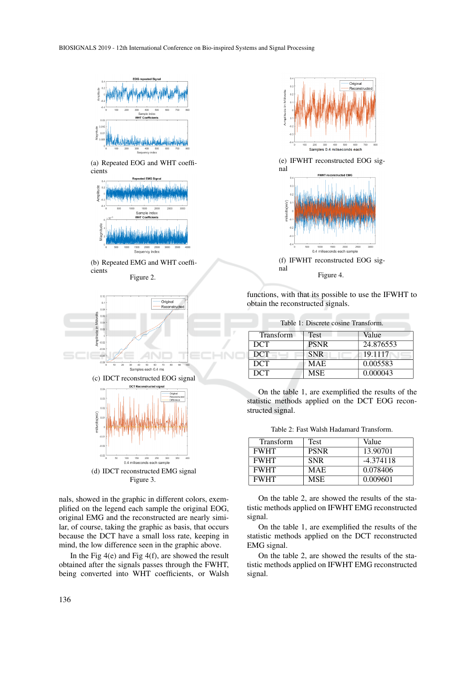

(a) Repeated EOG and WHT coefficients











nals, showed in the graphic in different colors, exemplified on the legend each sample the original EOG, original EMG and the reconstructed are nearly similar, of course, taking the graphic as basis, that occurs because the DCT have a small loss rate, keeping in mind, the low difference seen in the graphic above.

In the Fig  $4(e)$  and Fig  $4(f)$ , are showed the result obtained after the signals passes through the FWHT, being converted into WHT coefficients, or Walsh



(e) IFWHT reconstructed EOG signal



(f) IFWHT reconstructed EOG signal Figure 4.

functions, with that its possible to use the IFWHT to obtain the reconstructed signals.

| Table 1: Discrete cosine Transform. |             |           |  |  |
|-------------------------------------|-------------|-----------|--|--|
| <b>Transform</b>                    | Test        | Value     |  |  |
| <b>DCT</b>                          | <b>PSNR</b> | 24.876553 |  |  |
| <b>DCT</b>                          | <b>SNR</b>  | 19.1117   |  |  |
| <b>DCT</b>                          | <b>MAE</b>  | 0.005583  |  |  |
| <b>DCT</b>                          | <b>MSE</b>  | 0.000043  |  |  |

On the table 1, are exemplified the results of the statistic methods applied on the DCT EOG reconstructed signal.

Table 2: Fast Walsh Hadamard Transform.

| <b>Transform</b> | <b>Test</b> | Value       |
|------------------|-------------|-------------|
| <b>FWHT</b>      | <b>PSNR</b> | 13.90701    |
| <b>FWHT</b>      | <b>SNR</b>  | $-4.374118$ |
| <b>FWHT</b>      | <b>MAE</b>  | 0.078406    |
| <b>FWHT</b>      | <b>MSE</b>  | 0.009601    |

On the table 2, are showed the results of the statistic methods applied on IFWHT EMG reconstructed signal.

On the table 1, are exemplified the results of the statistic methods applied on the DCT reconstructed EMG signal.

On the table 2, are showed the results of the statistic methods applied on IFWHT EMG reconstructed signal.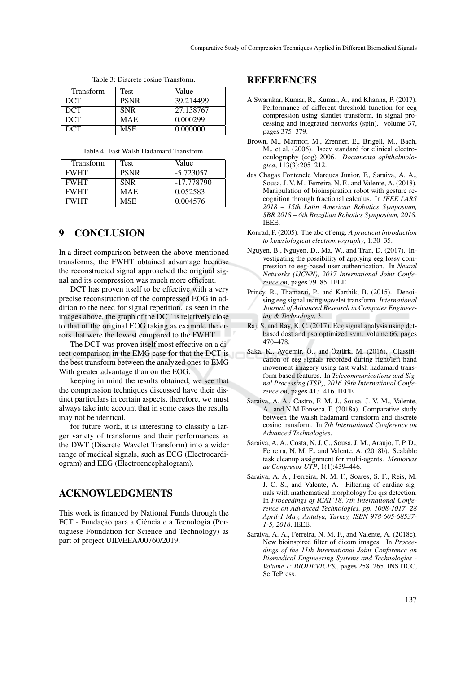| Transform  | Test        | Value     |
|------------|-------------|-----------|
| <b>DCT</b> | <b>PSNR</b> | 39.214499 |
| <b>DCT</b> | <b>SNR</b>  | 27.158767 |
| <b>DCT</b> | <b>MAE</b>  | 0.000299  |
| <b>DCT</b> | <b>MSE</b>  | 0.000000  |

Table 3: Discrete cosine Transform.

Table 4: Fast Walsh Hadamard Transform.

| <b>Transform</b> | <b>Test</b> | Value       |
|------------------|-------------|-------------|
| <b>FWHT</b>      | <b>PSNR</b> | $-5.723057$ |
| <b>FWHT</b>      | <b>SNR</b>  | -17.778790  |
| <b>FWHT</b>      | <b>MAE</b>  | 0.052583    |
| <b>FWHT</b>      | <b>MSE</b>  | 0.004576    |

### 9 CONCLUSION

In a direct comparison between the above-mentioned transforms, the FWHT obtained advantage because the reconstructed signal approached the original signal and its compression was much more efficient.

DCT has proven itself to be effective with a very precise reconstruction of the compressed EOG in addition to the need for signal repetition. as seen in the images above, the graph of the DCT is relatively close to that of the original EOG taking as example the errors that were the lowest compared to the FWHT.

The DCT was proven itself most effective on a direct comparison in the EMG case for that the DCT is the best transform between the analyzed ones to EMG With greater advantage than on the EOG.

keeping in mind the results obtained, we see that the compression techniques discussed have their distinct particulars in certain aspects, therefore, we must always take into account that in some cases the results may not be identical.

for future work, it is interesting to classify a larger variety of transforms and their performances as the DWT (Discrete Wavelet Transform) into a wider range of medical signals, such as ECG (Electrocardiogram) and EEG (Electroencephalogram).

### ACKNOWLEDGMENTS

This work is financed by National Funds through the FCT - Fundação para a Ciência e a Tecnologia (Portuguese Foundation for Science and Technology) as part of project UID/EEA/00760/2019.

### REFERENCES

- A.Swarnkar, Kumar, R., Kumar, A., and Khanna, P. (2017). Performance of different threshold function for ecg compression using slantlet transform. in signal processing and integrated networks (spin). volume 37, pages 375–379.
- Brown, M., Marmor, M., Zrenner, E., Brigell, M., Bach, M., et al. (2006). Iscev standard for clinical electrooculography (eog) 2006. *Documenta ophthalmologica*, 113(3):205–212.
- das Chagas Fontenele Marques Junior, F., Saraiva, A. A., Sousa, J. V. M., Ferreira, N. F., and Valente, A. (2018). Manipulation of bioinspiration robot with gesture recognition through fractional calculus. In *IEEE LARS 2018 – 15th Latin American Robotics Symposium, SBR 2018 – 6th Brazilian Robotics Symposium, 2018*. IEEE.
- Konrad, P. (2005). The abc of emg. *A practical introduction to kinesiological electromyography*, 1:30–35.
- Nguyen, B., Nguyen, D., Ma, W., and Tran, D. (2017). Investigating the possibility of applying eeg lossy compression to eeg-based user authentication. In *Neural Networks (IJCNN), 2017 International Joint Conference on*, pages 79–85. IEEE.
- Princy, R., Thamarai, P., and Karthik, B. (2015). Denoising eeg signal using wavelet transform. *International Journal of Advanced Research in Computer Engineering & Technology*, 3.
- Raj, S. and Ray, K. C. (2017). Ecg signal analysis using dctbased dost and pso optimized svm. volume 66, pages 470–478.
- Saka, K., Aydemir, Ö., and Öztürk, M. (2016). Classification of eeg signals recorded during right/left hand movement imagery using fast walsh hadamard transform based features. In *Telecommunications and Signal Processing (TSP), 2016 39th International Conference on*, pages 413–416. IEEE.
- Saraiva, A. A., Castro, F. M. J., Sousa, J. V. M., Valente, A., and N M Fonseca, F. (2018a). Comparative study between the walsh hadamard transform and discrete cosine transform. In *7th International Conference on Advanced Technologies*.
- Saraiva, A. A., Costa, N. J. C., Sousa, J. M., Araujo, T. P. D., Ferreira, N. M. F., and Valente, A. (2018b). Scalable task cleanup assignment for multi-agents. *Memorias de Congresos UTP*, 1(1):439–446.
- Saraiva, A. A., Ferreira, N. M. F., Soares, S. F., Reis, M. J. C. S., and Valente, A. Filtering of cardiac signals with mathematical morphology for qrs detection. In *Proceedings of ICAT'18, 7th International Conference on Advanced Technologies, pp. 1008-1017, 28 April-1 May, Antalya, Turkey, ISBN 978-605-68537- 1-5, 2018*. IEEE.
- Saraiva, A. A., Ferreira, N. M. F., and Valente, A. (2018c). New bioinspired filter of dicom images. In *Proceedings of the 11th International Joint Conference on Biomedical Engineering Systems and Technologies - Volume 1: BIODEVICES,*, pages 258–265. INSTICC, **SciTePress**